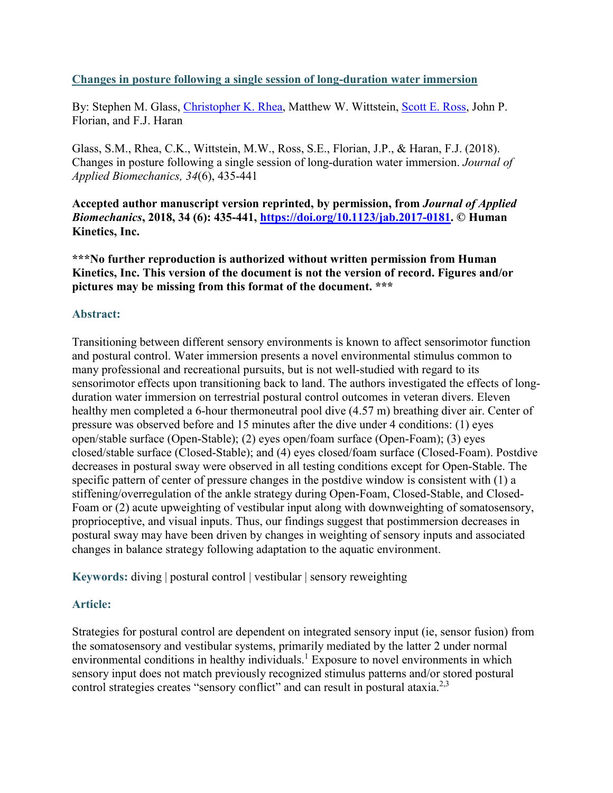### **Changes in posture following a single session of long-duration water immersion**

By: Stephen M. Glass, [Christopher K. Rhea,](https://libres.uncg.edu/ir/uncg/clist.aspx?id=4019) Matthew W. Wittstein, [Scott E. Ross,](https://libres.uncg.edu/ir/uncg/clist.aspx?id=13622) John P. Florian, and F.J. Haran

Glass, S.M., Rhea, C.K., Wittstein, M.W., Ross, S.E., Florian, J.P., & Haran, F.J. (2018). Changes in posture following a single session of long-duration water immersion. *Journal of Applied Biomechanics, 34*(6), 435-441

**Accepted author manuscript version reprinted, by permission, from** *Journal of Applied Biomechanics***, 2018, 34 (6): 435-441, [https://doi.org/10.1123/jab.2017-0181.](https://doi.org/10.1123/jab.2017-0181) © Human Kinetics, Inc.**

**\*\*\*No further reproduction is authorized without written permission from Human Kinetics, Inc. This version of the document is not the version of record. Figures and/or pictures may be missing from this format of the document. \*\*\***

### **Abstract:**

Transitioning between different sensory environments is known to affect sensorimotor function and postural control. Water immersion presents a novel environmental stimulus common to many professional and recreational pursuits, but is not well-studied with regard to its sensorimotor effects upon transitioning back to land. The authors investigated the effects of longduration water immersion on terrestrial postural control outcomes in veteran divers. Eleven healthy men completed a 6-hour thermoneutral pool dive  $(4.57 \text{ m})$  breathing diver air. Center of pressure was observed before and 15 minutes after the dive under 4 conditions: (1) eyes open/stable surface (Open-Stable); (2) eyes open/foam surface (Open-Foam); (3) eyes closed/stable surface (Closed-Stable); and (4) eyes closed/foam surface (Closed-Foam). Postdive decreases in postural sway were observed in all testing conditions except for Open-Stable. The specific pattern of center of pressure changes in the postdive window is consistent with (1) a stiffening/overregulation of the ankle strategy during Open-Foam, Closed-Stable, and Closed-Foam or (2) acute upweighting of vestibular input along with downweighting of somatosensory, proprioceptive, and visual inputs. Thus, our findings suggest that postimmersion decreases in postural sway may have been driven by changes in weighting of sensory inputs and associated changes in balance strategy following adaptation to the aquatic environment.

**Keywords:** diving | postural control | vestibular | sensory reweighting

## **Article:**

Strategies for postural control are dependent on integrated sensory input (ie, sensor fusion) from the somatosensory and vestibular systems, primarily mediated by the latter 2 under normal environmental conditions in healthy individuals.<sup>1</sup> Exposure to novel environments in which sensory input does not match previously recognized stimulus patterns and/or stored postural control strategies creates "sensory conflict" and can result in postural ataxia.<sup>2,3</sup>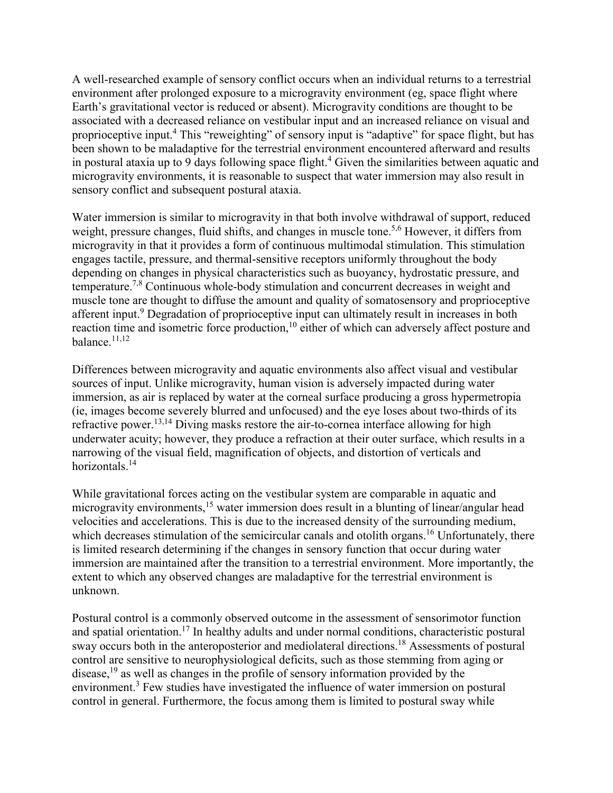A well-researched example of sensory conflict occurs when an individual returns to a terrestrial environment after prolonged exposure to a microgravity environment (eg, space flight where Earth's gravitational vector is reduced or absent). Microgravity conditions are thought to be associated with a decreased reliance on vestibular input and an increased reliance on visual and proprioceptive input.4 This "reweighting" of sensory input is "adaptive" for space flight, but has been shown to be maladaptive for the terrestrial environment encountered afterward and results in postural ataxia up to 9 days following space flight.<sup>4</sup> Given the similarities between aquatic and microgravity environments, it is reasonable to suspect that water immersion may also result in sensory conflict and subsequent postural ataxia.

Water immersion is similar to microgravity in that both involve withdrawal of support, reduced weight, pressure changes, fluid shifts, and changes in muscle tone.<sup>5,6</sup> However, it differs from microgravity in that it provides a form of continuous multimodal stimulation. This stimulation engages tactile, pressure, and thermal-sensitive receptors uniformly throughout the body depending on changes in physical characteristics such as buoyancy, hydrostatic pressure, and temperature.<sup>7,8</sup> Continuous whole-body stimulation and concurrent decreases in weight and muscle tone are thought to diffuse the amount and quality of somatosensory and proprioceptive afferent input.<sup>9</sup> Degradation of proprioceptive input can ultimately result in increases in both reaction time and isometric force production,<sup>10</sup> either of which can adversely affect posture and balance.11,12

Differences between microgravity and aquatic environments also affect visual and vestibular sources of input. Unlike microgravity, human vision is adversely impacted during water immersion, as air is replaced by water at the corneal surface producing a gross hypermetropia (ie, images become severely blurred and unfocused) and the eye loses about two-thirds of its refractive power.<sup>13,14</sup> Diving masks restore the air-to-cornea interface allowing for high underwater acuity; however, they produce a refraction at their outer surface, which results in a narrowing of the visual field, magnification of objects, and distortion of verticals and horizontals.<sup>14</sup>

While gravitational forces acting on the vestibular system are comparable in aquatic and microgravity environments,<sup>15</sup> water immersion does result in a blunting of linear/angular head velocities and accelerations. This is due to the increased density of the surrounding medium, which decreases stimulation of the semicircular canals and otolith organs.<sup>16</sup> Unfortunately, there is limited research determining if the changes in sensory function that occur during water immersion are maintained after the transition to a terrestrial environment. More importantly, the extent to which any observed changes are maladaptive for the terrestrial environment is unknown.

Postural control is a commonly observed outcome in the assessment of sensorimotor function and spatial orientation.<sup>17</sup> In healthy adults and under normal conditions, characteristic postural sway occurs both in the anteroposterior and mediolateral directions.<sup>18</sup> Assessments of postural control are sensitive to neurophysiological deficits, such as those stemming from aging or disease,<sup>19</sup> as well as changes in the profile of sensory information provided by the environment.<sup>3</sup> Few studies have investigated the influence of water immersion on postural control in general. Furthermore, the focus among them is limited to postural sway while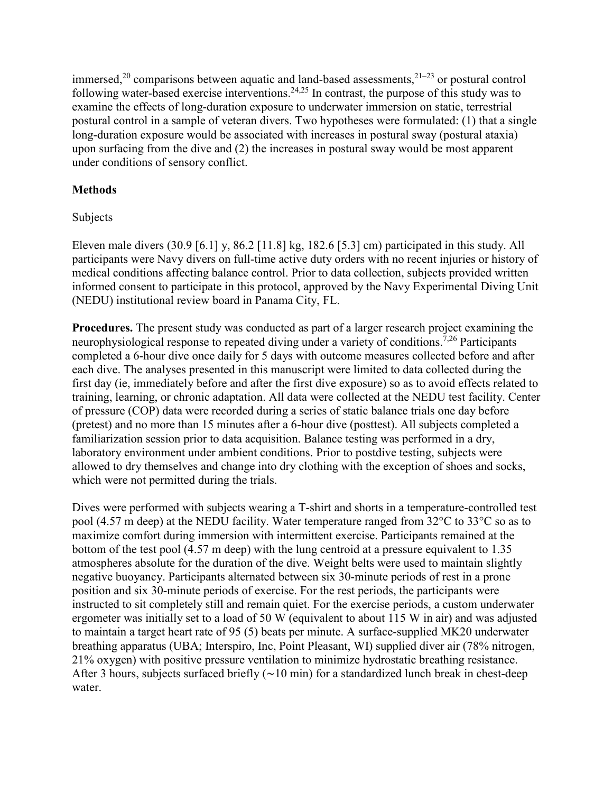immersed,<sup>20</sup> comparisons between aquatic and land-based assessments,<sup>21-23</sup> or postural control following water-based exercise interventions.<sup>24,25</sup> In contrast, the purpose of this study was to examine the effects of long-duration exposure to underwater immersion on static, terrestrial postural control in a sample of veteran divers. Two hypotheses were formulated: (1) that a single long-duration exposure would be associated with increases in postural sway (postural ataxia) upon surfacing from the dive and (2) the increases in postural sway would be most apparent under conditions of sensory conflict.

# **Methods**

# Subjects

Eleven male divers (30.9 [6.1] y, 86.2 [11.8] kg, 182.6 [5.3] cm) participated in this study. All participants were Navy divers on full-time active duty orders with no recent injuries or history of medical conditions affecting balance control. Prior to data collection, subjects provided written informed consent to participate in this protocol, approved by the Navy Experimental Diving Unit (NEDU) institutional review board in Panama City, FL.

**Procedures.** The present study was conducted as part of a larger research project examining the neurophysiological response to repeated diving under a variety of conditions.<sup>7,26</sup> Participants completed a 6-hour dive once daily for 5 days with outcome measures collected before and after each dive. The analyses presented in this manuscript were limited to data collected during the first day (ie, immediately before and after the first dive exposure) so as to avoid effects related to training, learning, or chronic adaptation. All data were collected at the NEDU test facility. Center of pressure (COP) data were recorded during a series of static balance trials one day before (pretest) and no more than 15 minutes after a 6-hour dive (posttest). All subjects completed a familiarization session prior to data acquisition. Balance testing was performed in a dry, laboratory environment under ambient conditions. Prior to postdive testing, subjects were allowed to dry themselves and change into dry clothing with the exception of shoes and socks, which were not permitted during the trials.

Dives were performed with subjects wearing a T-shirt and shorts in a temperature-controlled test pool (4.57 m deep) at the NEDU facility. Water temperature ranged from  $32^{\circ}$ C to  $33^{\circ}$ C so as to maximize comfort during immersion with intermittent exercise. Participants remained at the bottom of the test pool (4.57 m deep) with the lung centroid at a pressure equivalent to 1.35 atmospheres absolute for the duration of the dive. Weight belts were used to maintain slightly negative buoyancy. Participants alternated between six 30-minute periods of rest in a prone position and six 30-minute periods of exercise. For the rest periods, the participants were instructed to sit completely still and remain quiet. For the exercise periods, a custom underwater ergometer was initially set to a load of 50 W (equivalent to about 115 W in air) and was adjusted to maintain a target heart rate of 95 (5) beats per minute. A surface-supplied MK20 underwater breathing apparatus (UBA; Interspiro, Inc, Point Pleasant, WI) supplied diver air (78% nitrogen, 21% oxygen) with positive pressure ventilation to minimize hydrostatic breathing resistance. After 3 hours, subjects surfaced briefly (∼10 min) for a standardized lunch break in chest-deep water.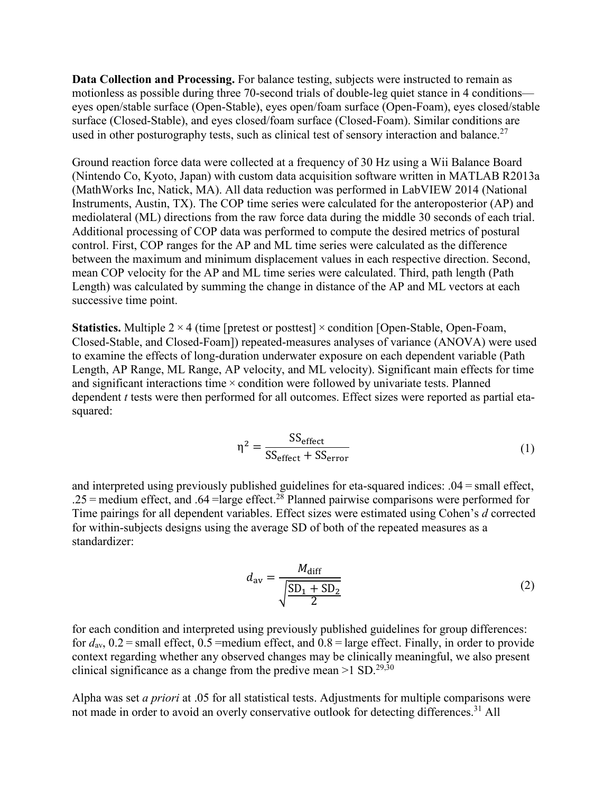**Data Collection and Processing.** For balance testing, subjects were instructed to remain as motionless as possible during three 70-second trials of double-leg quiet stance in 4 conditions eyes open/stable surface (Open-Stable), eyes open/foam surface (Open-Foam), eyes closed/stable surface (Closed-Stable), and eyes closed/foam surface (Closed-Foam). Similar conditions are used in other posturography tests, such as clinical test of sensory interaction and balance.<sup>27</sup>

Ground reaction force data were collected at a frequency of 30 Hz using a Wii Balance Board (Nintendo Co, Kyoto, Japan) with custom data acquisition software written in MATLAB R2013a (MathWorks Inc, Natick, MA). All data reduction was performed in LabVIEW 2014 (National Instruments, Austin, TX). The COP time series were calculated for the anteroposterior (AP) and mediolateral (ML) directions from the raw force data during the middle 30 seconds of each trial. Additional processing of COP data was performed to compute the desired metrics of postural control. First, COP ranges for the AP and ML time series were calculated as the difference between the maximum and minimum displacement values in each respective direction. Second, mean COP velocity for the AP and ML time series were calculated. Third, path length (Path Length) was calculated by summing the change in distance of the AP and ML vectors at each successive time point.

**Statistics.** Multiple 2 × 4 (time [pretest or posttest] × condition [Open-Stable, Open-Foam, Closed-Stable, and Closed-Foam]) repeated-measures analyses of variance (ANOVA) were used to examine the effects of long-duration underwater exposure on each dependent variable (Path Length, AP Range, ML Range, AP velocity, and ML velocity). Significant main effects for time and significant interactions time $\times$  condition were followed by univariate tests. Planned dependent *t* tests were then performed for all outcomes. Effect sizes were reported as partial etasquared:

$$
\eta^2 = \frac{SS_{effect}}{SS_{effect} + SS_{error}}\tag{1}
$$

and interpreted using previously published guidelines for eta-squared indices: .04 = small effect, .25 = medium effect, and .64 = large effect.<sup>28</sup> Planned pairwise comparisons were performed for Time pairings for all dependent variables. Effect sizes were estimated using Cohen's *d* corrected for within-subjects designs using the average SD of both of the repeated measures as a standardizer:

$$
d_{\rm av} = \frac{M_{\rm diff}}{\sqrt{\frac{\rm SD_1 + SD_2}{2}}}
$$
(2)

for each condition and interpreted using previously published guidelines for group differences: for  $d_{av}$ ,  $0.2$  = small effect,  $0.5$  =medium effect, and  $0.8$  = large effect. Finally, in order to provide context regarding whether any observed changes may be clinically meaningful, we also present clinical significance as a change from the predive mean  $>1$  SD.<sup>29,30</sup>

Alpha was set *a priori* at .05 for all statistical tests. Adjustments for multiple comparisons were not made in order to avoid an overly conservative outlook for detecting differences.<sup>31</sup> All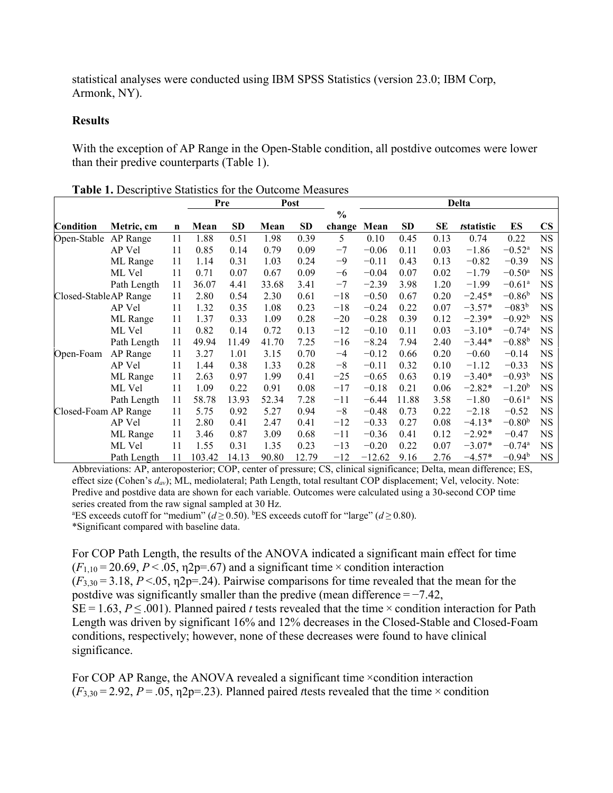statistical analyses were conducted using IBM SPSS Statistics (version 23.0; IBM Corp, Armonk, NY).

#### **Results**

With the exception of AP Range in the Open-Stable condition, all postdive outcomes were lower than their predive counterparts (Table 1).

|                       | Metric, cm  | $\mathbf n$ | Pre    |           | Post  |       |                         | <b>Delta</b> |           |      |            |                      |               |
|-----------------------|-------------|-------------|--------|-----------|-------|-------|-------------------------|--------------|-----------|------|------------|----------------------|---------------|
| Condition             |             |             | Mean   | <b>SD</b> | Mean  | SD    | $\frac{0}{0}$<br>change | Mean         | <b>SD</b> | SE   | tstatistic | ES                   | $\mathbf{CS}$ |
| Open-Stable           | AP Range    | 11          | 1.88   | 0.51      | 1.98  | 0.39  | 5                       | 0.10         | 0.45      | 0.13 | 0.74       | 0.22                 | <b>NS</b>     |
|                       | AP Vel      | 11          | 0.85   | 0.14      | 0.79  | 0.09  | $-7$                    | $-0.06$      | 0.11      | 0.03 | $-1.86$    | $-0.52^{\rm a}$      | <b>NS</b>     |
|                       | ML Range    | 11          | 1.14   | 0.31      | 1.03  | 0.24  | -9                      | $-0.11$      | 0.43      | 0.13 | $-0.82$    | $-0.39$              | NS            |
|                       | ML Vel      | 11          | 0.71   | 0.07      | 0.67  | 0.09  | $-6$                    | $-0.04$      | 0.07      | 0.02 | $-1.79$    | $-0.50$ <sup>a</sup> | NS.           |
|                       | Path Length | 11          | 36.07  | 4.41      | 33.68 | 3.41  | $-7$                    | $-2.39$      | 3.98      | 1.20 | $-1.99$    | $-0.61^{\rm a}$      | NS            |
| Closed-StableAP Range |             | 11          | 2.80   | 0.54      | 2.30  | 0.61  | $-18$                   | $-0.50$      | 0.67      | 0.20 | $-2.45*$   | $-0.86b$             | NS.           |
|                       | AP Vel      | 11          | 1.32   | 0.35      | 1.08  | 0.23  | $-18$                   | $-0.24$      | 0.22      | 0.07 | $-3.57*$   | $-083b$              | NS            |
|                       | ML Range    | 11          | 1.37   | 0.33      | 1.09  | 0.28  | $-20$                   | $-0.28$      | 0.39      | 0.12 | $-2.39*$   | $-0.92b$             | <b>NS</b>     |
|                       | ML Vel      | 11          | 0.82   | 0.14      | 0.72  | 0.13  | $-12$                   | $-0.10$      | 0.11      | 0.03 | $-3.10*$   | $-0.74$ <sup>a</sup> | NS            |
|                       | Path Length | 11          | 49.94  | 11.49     | 41.70 | 7.25  | $-16$                   | $-8.24$      | 7.94      | 2.40 | $-3.44*$   | $-0.88b$             | <b>NS</b>     |
| Open-Foam             | AP Range    | 11          | 3.27   | 1.01      | 3.15  | 0.70  | $-4$                    | $-0.12$      | 0.66      | 0.20 | $-0.60$    | $-0.14$              | NS.           |
|                       | AP Vel      | 11          | 1.44   | 0.38      | 1.33  | 0.28  | $-8$                    | $-0.11$      | 0.32      | 0.10 | $-1.12$    | $-0.33$              | NS            |
|                       | ML Range    | 11          | 2.63   | 0.97      | 1.99  | 0.41  | $-25$                   | $-0.65$      | 0.63      | 0.19 | $-3.40*$   | $-0.93b$             | NS            |
|                       | ML Vel      | 11          | 1.09   | 0.22      | 0.91  | 0.08  | $-17$                   | $-0.18$      | 0.21      | 0.06 | $-2.82*$   | $-1.20b$             | <b>NS</b>     |
|                       | Path Length | 11          | 58.78  | 13.93     | 52.34 | 7.28  | $-11$                   | $-6.44$      | 11.88     | 3.58 | $-1.80$    | $-0.61$ <sup>a</sup> | <b>NS</b>     |
| Closed-Foam AP Range  |             | 11          | 5.75   | 0.92      | 5.27  | 0.94  | $-8$                    | $-0.48$      | 0.73      | 0.22 | $-2.18$    | $-0.52$              | NS            |
|                       | AP Vel      | 11          | 2.80   | 0.41      | 2.47  | 0.41  | $-12$                   | $-0.33$      | 0.27      | 0.08 | $-4.13*$   | $-0.80b$             | NS            |
|                       | ML Range    | 11          | 3.46   | 0.87      | 3.09  | 0.68  | $-11$                   | $-0.36$      | 0.41      | 0.12 | $-2.92*$   | $-0.47$              | NS.           |
|                       | ML Vel      | 11          | 1.55   | 0.31      | 1.35  | 0.23  | $-13$                   | $-0.20$      | 0.22      | 0.07 | $-3.07*$   | $-0.74$ <sup>a</sup> | NS.           |
|                       | Path Length | 11          | 103.42 | 14.13     | 90.80 | 12.79 | $-12$                   | $-12.62$     | 9.16      | 2.76 | $-4.57*$   | $-0.94^{\rm b}$      | <b>NS</b>     |

**Table 1.** Descriptive Statistics for the Outcome Measures

Abbreviations: AP, anteroposterior; COP, center of pressure; CS, clinical significance; Delta, mean difference; ES, effect size (Cohen's *dav*); ML, mediolateral; Path Length, total resultant COP displacement; Vel, velocity. Note: Predive and postdive data are shown for each variable. Outcomes were calculated using a 30-second COP time series created from the raw signal sampled at 30 Hz.

<sup>a</sup>ES exceeds cutoff for "medium" ( $d \ge 0.50$ ). <sup>b</sup>ES exceeds cutoff for "large" ( $d \ge 0.80$ ).

\*Significant compared with baseline data.

For COP Path Length, the results of the ANOVA indicated a significant main effect for time  $(F_{1,10} = 20.69, P < .05, \eta^2p = .67)$  and a significant time  $\times$  condition interaction  $(F_{3,30} = 3.18, P < .05, \eta$ 2p=.24). Pairwise comparisons for time revealed that the mean for the postdive was significantly smaller than the predive (mean difference  $=$  -7.42, SE = 1.63, *P* ≤ .001). Planned paired *t* tests revealed that the time × condition interaction for Path Length was driven by significant 16% and 12% decreases in the Closed-Stable and Closed-Foam conditions, respectively; however, none of these decreases were found to have clinical significance.

For COP AP Range, the ANOVA revealed a significant time × condition interaction  $(F_{3,30} = 2.92, P = .05, \eta^2 = .23)$ . Planned paired *t* tests revealed that the time  $\times$  condition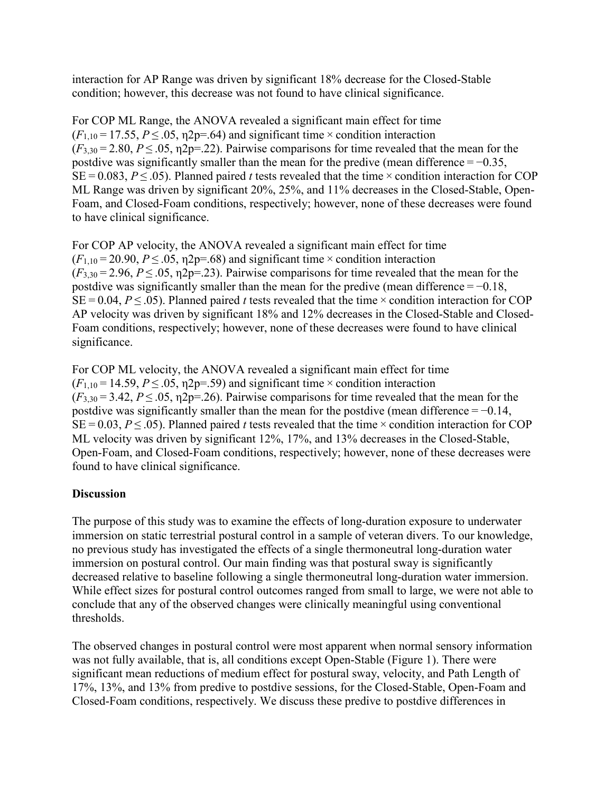interaction for AP Range was driven by significant 18% decrease for the Closed-Stable condition; however, this decrease was not found to have clinical significance.

For COP ML Range, the ANOVA revealed a significant main effect for time  $(F_{1,10} = 17.55, P \leq .05, \eta$ 2p=.64) and significant time  $\times$  condition interaction  $(F_{3,30} = 2.80, P \leq .05, \eta2p = .22)$ . Pairwise comparisons for time revealed that the mean for the postdive was significantly smaller than the mean for the predive (mean difference  $=$  -0.35, SE = 0.083, *P* ≤ .05). Planned paired *t* tests revealed that the time × condition interaction for COP ML Range was driven by significant 20%, 25%, and 11% decreases in the Closed-Stable, Open-Foam, and Closed-Foam conditions, respectively; however, none of these decreases were found to have clinical significance.

For COP AP velocity, the ANOVA revealed a significant main effect for time  $(F_{1,10} = 20.90, P \leq .05, \eta^2p = .68)$  and significant time × condition interaction  $(F_{3,30} = 2.96, P \leq .05, \eta^2p = .23)$ . Pairwise comparisons for time revealed that the mean for the postdive was significantly smaller than the mean for the predive (mean difference  $=$  -0.18, SE = 0.04, *P* ≤ .05). Planned paired *t* tests revealed that the time × condition interaction for COP AP velocity was driven by significant 18% and 12% decreases in the Closed-Stable and Closed-Foam conditions, respectively; however, none of these decreases were found to have clinical significance.

For COP ML velocity, the ANOVA revealed a significant main effect for time  $(F_{1,10} = 14.59, P \leq .05, \eta^2p = .59)$  and significant time × condition interaction  $(F_{3,30} = 3.42, P \leq .05, \eta^2p = .26)$ . Pairwise comparisons for time revealed that the mean for the postdive was significantly smaller than the mean for the postdive (mean difference  $=$  -0.14, SE = 0.03, *P* ≤ .05). Planned paired *t* tests revealed that the time × condition interaction for COP ML velocity was driven by significant 12%, 17%, and 13% decreases in the Closed-Stable, Open-Foam, and Closed-Foam conditions, respectively; however, none of these decreases were found to have clinical significance.

## **Discussion**

The purpose of this study was to examine the effects of long-duration exposure to underwater immersion on static terrestrial postural control in a sample of veteran divers. To our knowledge, no previous study has investigated the effects of a single thermoneutral long-duration water immersion on postural control. Our main finding was that postural sway is significantly decreased relative to baseline following a single thermoneutral long-duration water immersion. While effect sizes for postural control outcomes ranged from small to large, we were not able to conclude that any of the observed changes were clinically meaningful using conventional thresholds.

The observed changes in postural control were most apparent when normal sensory information was not fully available, that is, all conditions except Open-Stable (Figure 1). There were significant mean reductions of medium effect for postural sway, velocity, and Path Length of 17%, 13%, and 13% from predive to postdive sessions, for the Closed-Stable, Open-Foam and Closed-Foam conditions, respectively. We discuss these predive to postdive differences in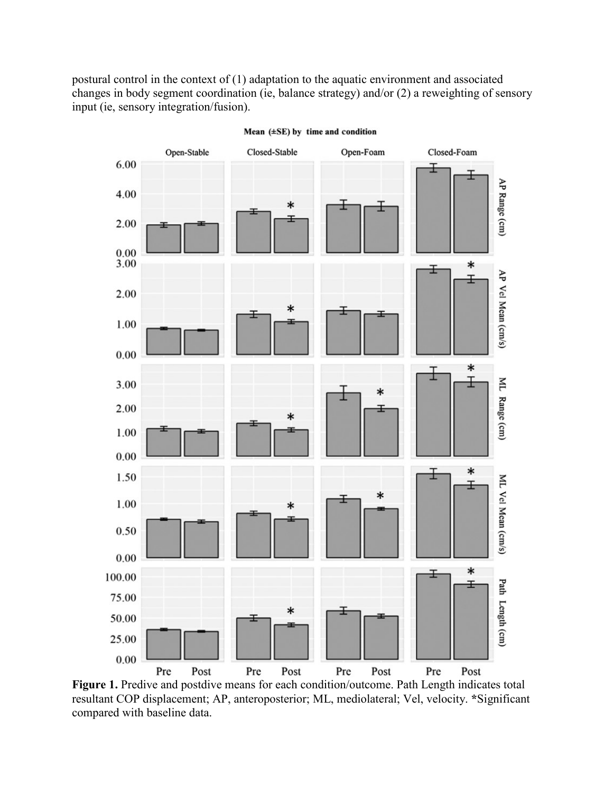postural control in the context of (1) adaptation to the aquatic environment and associated changes in body segment coordination (ie, balance strategy) and/or (2) a reweighting of sensory input (ie, sensory integration/fusion).



Mean (±SE) by time and condition

Figure 1. Predive and postdive means for each condition/outcome. Path Length indicates total resultant COP displacement; AP, anteroposterior; ML, mediolateral; Vel, velocity. **\***Significant compared with baseline data.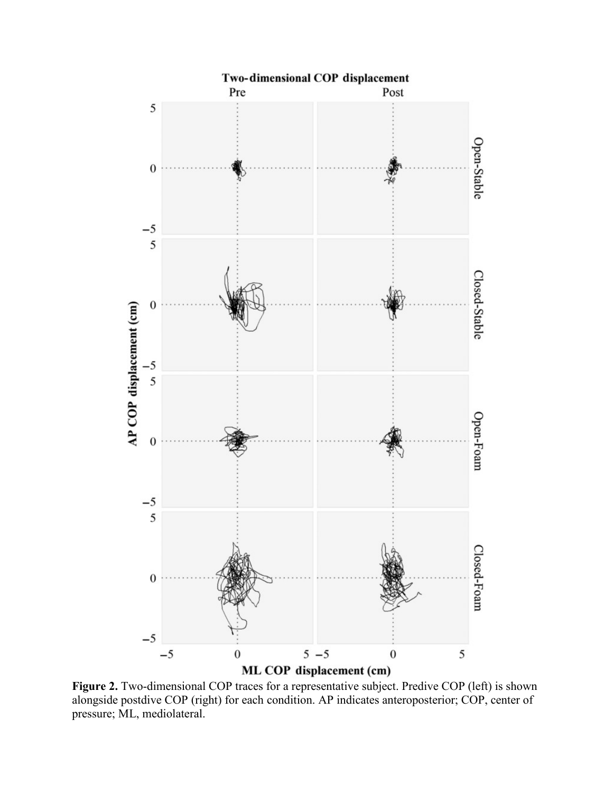

Figure 2. Two-dimensional COP traces for a representative subject. Predive COP (left) is shown alongside postdive COP (right) for each condition. AP indicates anteroposterior; COP, center of pressure; ML, mediolateral.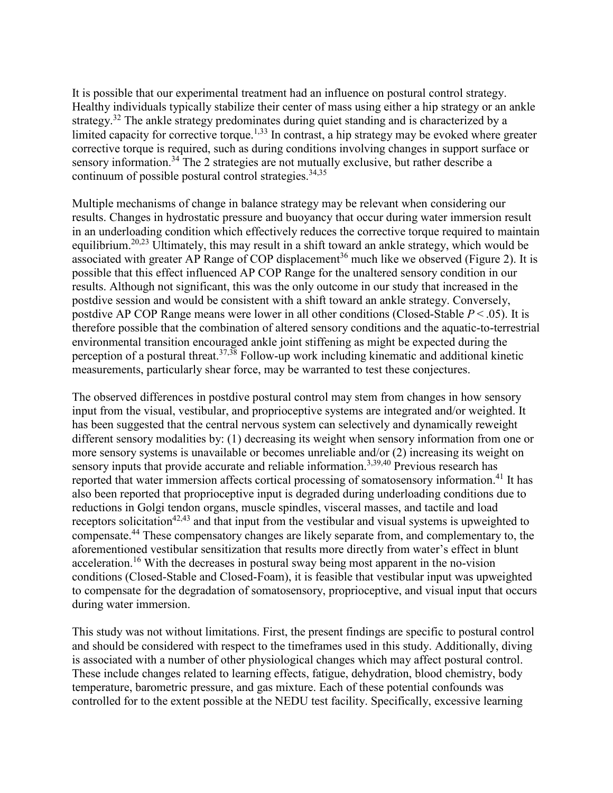It is possible that our experimental treatment had an influence on postural control strategy. Healthy individuals typically stabilize their center of mass using either a hip strategy or an ankle strategy.<sup>32</sup> The ankle strategy predominates during quiet standing and is characterized by a limited capacity for corrective torque.<sup>1,33</sup> In contrast, a hip strategy may be evoked where greater corrective torque is required, such as during conditions involving changes in support surface or sensory information.<sup>34</sup> The 2 strategies are not mutually exclusive, but rather describe a continuum of possible postural control strategies. $34,35$ 

Multiple mechanisms of change in balance strategy may be relevant when considering our results. Changes in hydrostatic pressure and buoyancy that occur during water immersion result in an underloading condition which effectively reduces the corrective torque required to maintain equilibrium.20,23 Ultimately, this may result in a shift toward an ankle strategy, which would be associated with greater AP Range of COP displacement<sup>36</sup> much like we observed (Figure 2). It is possible that this effect influenced AP COP Range for the unaltered sensory condition in our results. Although not significant, this was the only outcome in our study that increased in the postdive session and would be consistent with a shift toward an ankle strategy. Conversely, postdive AP COP Range means were lower in all other conditions (Closed-Stable *P* < .05). It is therefore possible that the combination of altered sensory conditions and the aquatic-to-terrestrial environmental transition encouraged ankle joint stiffening as might be expected during the perception of a postural threat.<sup>37,38</sup> Follow-up work including kinematic and additional kinetic measurements, particularly shear force, may be warranted to test these conjectures.

The observed differences in postdive postural control may stem from changes in how sensory input from the visual, vestibular, and proprioceptive systems are integrated and/or weighted. It has been suggested that the central nervous system can selectively and dynamically reweight different sensory modalities by: (1) decreasing its weight when sensory information from one or more sensory systems is unavailable or becomes unreliable and/or (2) increasing its weight on sensory inputs that provide accurate and reliable information.<sup>3,39,40</sup> Previous research has reported that water immersion affects cortical processing of somatosensory information.<sup>41</sup> It has also been reported that proprioceptive input is degraded during underloading conditions due to reductions in Golgi tendon organs, muscle spindles, visceral masses, and tactile and load receptors solicitation<sup>42,43</sup> and that input from the vestibular and visual systems is upweighted to compensate.<sup>44</sup> These compensatory changes are likely separate from, and complementary to, the aforementioned vestibular sensitization that results more directly from water's effect in blunt acceleration.<sup>16</sup> With the decreases in postural sway being most apparent in the no-vision conditions (Closed-Stable and Closed-Foam), it is feasible that vestibular input was upweighted to compensate for the degradation of somatosensory, proprioceptive, and visual input that occurs during water immersion.

This study was not without limitations. First, the present findings are specific to postural control and should be considered with respect to the timeframes used in this study. Additionally, diving is associated with a number of other physiological changes which may affect postural control. These include changes related to learning effects, fatigue, dehydration, blood chemistry, body temperature, barometric pressure, and gas mixture. Each of these potential confounds was controlled for to the extent possible at the NEDU test facility. Specifically, excessive learning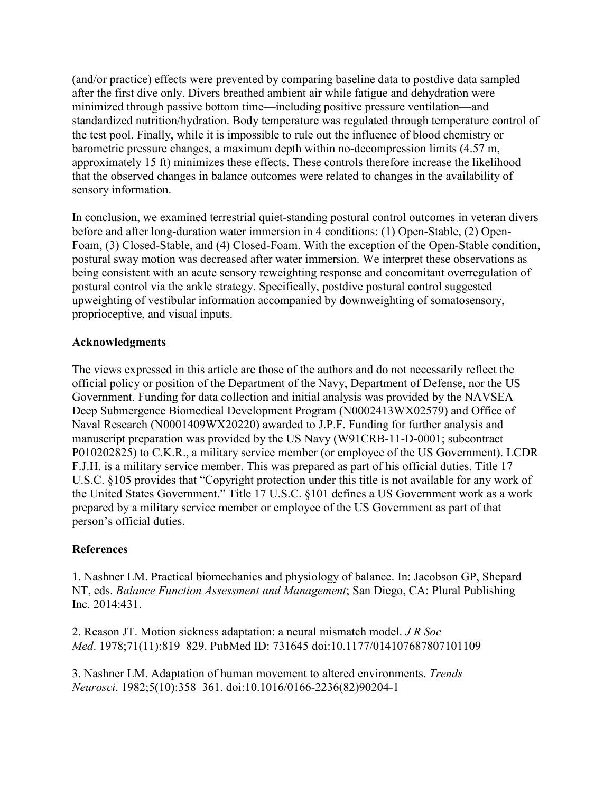(and/or practice) effects were prevented by comparing baseline data to postdive data sampled after the first dive only. Divers breathed ambient air while fatigue and dehydration were minimized through passive bottom time—including positive pressure ventilation—and standardized nutrition/hydration. Body temperature was regulated through temperature control of the test pool. Finally, while it is impossible to rule out the influence of blood chemistry or barometric pressure changes, a maximum depth within no-decompression limits (4.57 m, approximately 15 ft) minimizes these effects. These controls therefore increase the likelihood that the observed changes in balance outcomes were related to changes in the availability of sensory information.

In conclusion, we examined terrestrial quiet-standing postural control outcomes in veteran divers before and after long-duration water immersion in 4 conditions: (1) Open-Stable, (2) Open-Foam, (3) Closed-Stable, and (4) Closed-Foam. With the exception of the Open-Stable condition, postural sway motion was decreased after water immersion. We interpret these observations as being consistent with an acute sensory reweighting response and concomitant overregulation of postural control via the ankle strategy. Specifically, postdive postural control suggested upweighting of vestibular information accompanied by downweighting of somatosensory, proprioceptive, and visual inputs.

## **Acknowledgments**

The views expressed in this article are those of the authors and do not necessarily reflect the official policy or position of the Department of the Navy, Department of Defense, nor the US Government. Funding for data collection and initial analysis was provided by the NAVSEA Deep Submergence Biomedical Development Program (N0002413WX02579) and Office of Naval Research (N0001409WX20220) awarded to J.P.F. Funding for further analysis and manuscript preparation was provided by the US Navy (W91CRB-11-D-0001; subcontract P010202825) to C.K.R., a military service member (or employee of the US Government). LCDR F.J.H. is a military service member. This was prepared as part of his official duties. Title 17 U.S.C. §105 provides that "Copyright protection under this title is not available for any work of the United States Government." Title 17 U.S.C. §101 defines a US Government work as a work prepared by a military service member or employee of the US Government as part of that person's official duties.

## **References**

1. Nashner LM. Practical biomechanics and physiology of balance. In: Jacobson GP, Shepard NT, eds. *Balance Function Assessment and Management*; San Diego, CA: Plural Publishing Inc. 2014:431.

2. Reason JT. Motion sickness adaptation: a neural mismatch model. *J R Soc Med*. 1978;71(11):819–829. PubMed ID: 731645 doi:10.1177/014107687807101109

3. Nashner LM. Adaptation of human movement to altered environments. *Trends Neurosci*. 1982;5(10):358–361. doi:10.1016/0166-2236(82)90204-1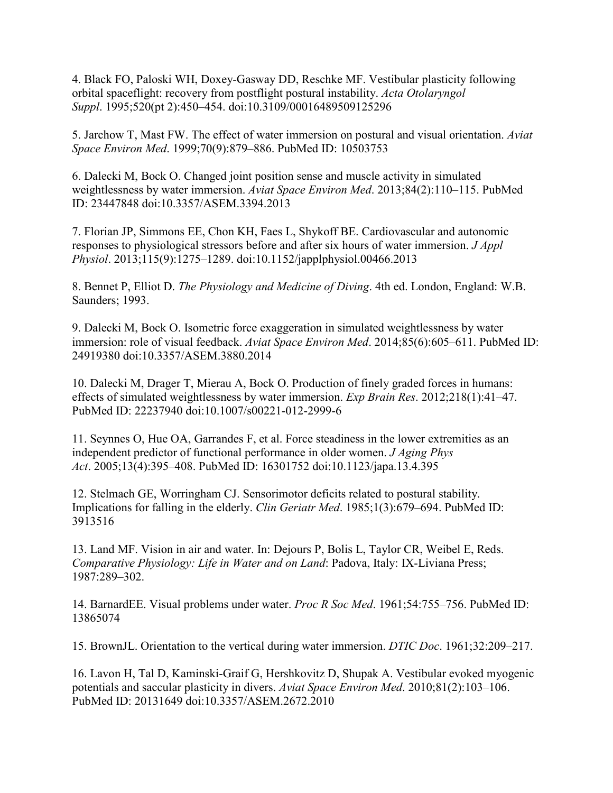4. Black FO, Paloski WH, Doxey-Gasway DD, Reschke MF. Vestibular plasticity following orbital spaceflight: recovery from postflight postural instability. *Acta Otolaryngol Suppl*. 1995;520(pt 2):450–454. doi:10.3109/00016489509125296

5. Jarchow T, Mast FW. The effect of water immersion on postural and visual orientation. *Aviat Space Environ Med*. 1999;70(9):879–886. PubMed ID: 10503753

6. Dalecki M, Bock O. Changed joint position sense and muscle activity in simulated weightlessness by water immersion. *Aviat Space Environ Med*. 2013;84(2):110–115. PubMed ID: 23447848 doi:10.3357/ASEM.3394.2013

7. Florian JP, Simmons EE, Chon KH, Faes L, Shykoff BE. Cardiovascular and autonomic responses to physiological stressors before and after six hours of water immersion. *J Appl Physiol*. 2013;115(9):1275–1289. doi:10.1152/japplphysiol.00466.2013

8. Bennet P, Elliot D. *The Physiology and Medicine of Diving*. 4th ed. London, England: W.B. Saunders; 1993.

9. Dalecki M, Bock O. Isometric force exaggeration in simulated weightlessness by water immersion: role of visual feedback. *Aviat Space Environ Med*. 2014;85(6):605–611. PubMed ID: 24919380 doi:10.3357/ASEM.3880.2014

10. Dalecki M, Drager T, Mierau A, Bock O. Production of finely graded forces in humans: effects of simulated weightlessness by water immersion. *Exp Brain Res*. 2012;218(1):41–47. PubMed ID: 22237940 doi:10.1007/s00221-012-2999-6

11. Seynnes O, Hue OA, Garrandes F, et al. Force steadiness in the lower extremities as an independent predictor of functional performance in older women. *J Aging Phys Act*. 2005;13(4):395–408. PubMed ID: 16301752 doi:10.1123/japa.13.4.395

12. Stelmach GE, Worringham CJ. Sensorimotor deficits related to postural stability. Implications for falling in the elderly. *Clin Geriatr Med*. 1985;1(3):679–694. PubMed ID: 3913516

13. Land MF. Vision in air and water. In: Dejours P, Bolis L, Taylor CR, Weibel E, Reds. *Comparative Physiology: Life in Water and on Land*: Padova, Italy: IX-Liviana Press; 1987:289–302.

14. BarnardEE. Visual problems under water. *Proc R Soc Med*. 1961;54:755–756. PubMed ID: 13865074

15. BrownJL. Orientation to the vertical during water immersion. *DTIC Doc*. 1961;32:209–217.

16. Lavon H, Tal D, Kaminski-Graif G, Hershkovitz D, Shupak A. Vestibular evoked myogenic potentials and saccular plasticity in divers. *Aviat Space Environ Med*. 2010;81(2):103–106. PubMed ID: 20131649 doi:10.3357/ASEM.2672.2010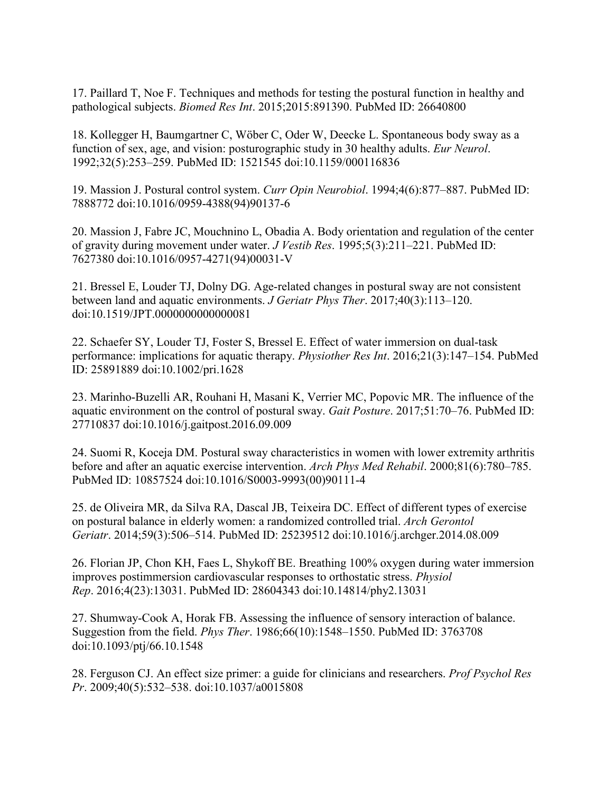17. Paillard T, Noe F. Techniques and methods for testing the postural function in healthy and pathological subjects. *Biomed Res Int*. 2015;2015:891390. PubMed ID: 26640800

18. Kollegger H, Baumgartner C, Wöber C, Oder W, Deecke L. Spontaneous body sway as a function of sex, age, and vision: posturographic study in 30 healthy adults. *Eur Neurol*. 1992;32(5):253–259. PubMed ID: 1521545 doi:10.1159/000116836

19. Massion J. Postural control system. *Curr Opin Neurobiol*. 1994;4(6):877–887. PubMed ID: 7888772 doi:10.1016/0959-4388(94)90137-6

20. Massion J, Fabre JC, Mouchnino L, Obadia A. Body orientation and regulation of the center of gravity during movement under water. *J Vestib Res*. 1995;5(3):211–221. PubMed ID: 7627380 doi:10.1016/0957-4271(94)00031-V

21. Bressel E, Louder TJ, Dolny DG. Age-related changes in postural sway are not consistent between land and aquatic environments. *J Geriatr Phys Ther*. 2017;40(3):113–120. doi:10.1519/JPT.0000000000000081

22. Schaefer SY, Louder TJ, Foster S, Bressel E. Effect of water immersion on dual-task performance: implications for aquatic therapy. *Physiother Res Int*. 2016;21(3):147–154. PubMed ID: 25891889 doi:10.1002/pri.1628

23. Marinho-Buzelli AR, Rouhani H, Masani K, Verrier MC, Popovic MR. The influence of the aquatic environment on the control of postural sway. *Gait Posture*. 2017;51:70–76. PubMed ID: 27710837 doi:10.1016/j.gaitpost.2016.09.009

24. Suomi R, Koceja DM. Postural sway characteristics in women with lower extremity arthritis before and after an aquatic exercise intervention. *Arch Phys Med Rehabil*. 2000;81(6):780–785. PubMed ID: 10857524 doi:10.1016/S0003-9993(00)90111-4

25. de Oliveira MR, da Silva RA, Dascal JB, Teixeira DC. Effect of different types of exercise on postural balance in elderly women: a randomized controlled trial. *Arch Gerontol Geriatr*. 2014;59(3):506–514. PubMed ID: 25239512 doi:10.1016/j.archger.2014.08.009

26. Florian JP, Chon KH, Faes L, Shykoff BE. Breathing 100% oxygen during water immersion improves postimmersion cardiovascular responses to orthostatic stress. *Physiol Rep*. 2016;4(23):13031. PubMed ID: 28604343 doi:10.14814/phy2.13031

27. Shumway-Cook A, Horak FB. Assessing the influence of sensory interaction of balance. Suggestion from the field. *Phys Ther*. 1986;66(10):1548–1550. PubMed ID: 3763708 doi:10.1093/ptj/66.10.1548

28. Ferguson CJ. An effect size primer: a guide for clinicians and researchers. *Prof Psychol Res Pr*. 2009;40(5):532–538. doi:10.1037/a0015808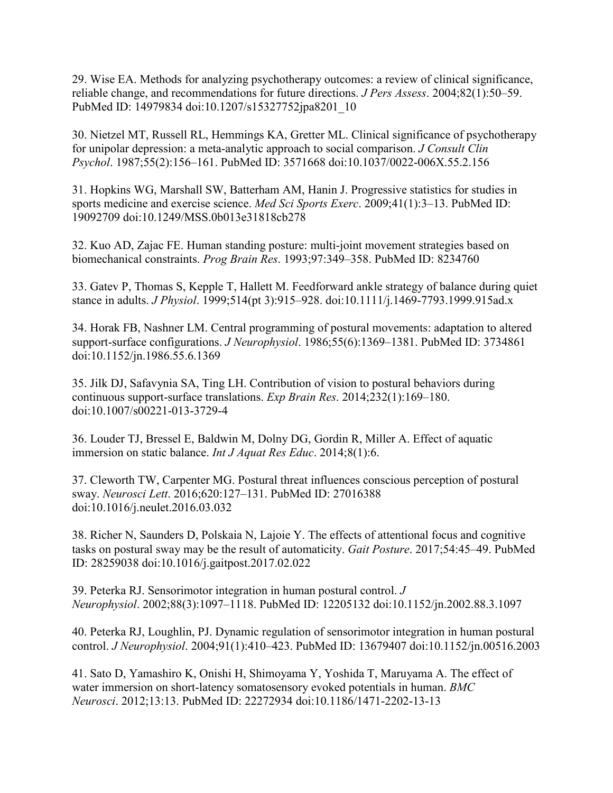29. Wise EA. Methods for analyzing psychotherapy outcomes: a review of clinical significance, reliable change, and recommendations for future directions. *J Pers Assess*. 2004;82(1):50–59. PubMed ID: 14979834 doi:10.1207/s15327752jpa8201\_10

30. Nietzel MT, Russell RL, Hemmings KA, Gretter ML. Clinical significance of psychotherapy for unipolar depression: a meta-analytic approach to social comparison. *J Consult Clin Psychol*. 1987;55(2):156–161. PubMed ID: 3571668 doi:10.1037/0022-006X.55.2.156

31. Hopkins WG, Marshall SW, Batterham AM, Hanin J. Progressive statistics for studies in sports medicine and exercise science. *Med Sci Sports Exerc*. 2009;41(1):3–13. PubMed ID: 19092709 doi:10.1249/MSS.0b013e31818cb278

32. Kuo AD, Zajac FE. Human standing posture: multi-joint movement strategies based on biomechanical constraints. *Prog Brain Res*. 1993;97:349–358. PubMed ID: 8234760

33. Gatev P, Thomas S, Kepple T, Hallett M. Feedforward ankle strategy of balance during quiet stance in adults. *J Physiol*. 1999;514(pt 3):915–928. doi:10.1111/j.1469-7793.1999.915ad.x

34. Horak FB, Nashner LM. Central programming of postural movements: adaptation to altered support-surface configurations. *J Neurophysiol*. 1986;55(6):1369–1381. PubMed ID: 3734861 doi:10.1152/jn.1986.55.6.1369

35. Jilk DJ, Safavynia SA, Ting LH. Contribution of vision to postural behaviors during continuous support-surface translations. *Exp Brain Res*. 2014;232(1):169–180. doi:10.1007/s00221-013-3729-4

36. Louder TJ, Bressel E, Baldwin M, Dolny DG, Gordin R, Miller A. Effect of aquatic immersion on static balance. *Int J Aquat Res Educ*. 2014;8(1):6.

37. Cleworth TW, Carpenter MG. Postural threat influences conscious perception of postural sway. *Neurosci Lett*. 2016;620:127–131. PubMed ID: 27016388 doi:10.1016/j.neulet.2016.03.032

38. Richer N, Saunders D, Polskaia N, Lajoie Y. The effects of attentional focus and cognitive tasks on postural sway may be the result of automaticity. *Gait Posture*. 2017;54:45–49. PubMed ID: 28259038 doi:10.1016/j.gaitpost.2017.02.022

39. Peterka RJ. Sensorimotor integration in human postural control. *J Neurophysiol*. 2002;88(3):1097–1118. PubMed ID: 12205132 doi:10.1152/jn.2002.88.3.1097

40. Peterka RJ, Loughlin, PJ. Dynamic regulation of sensorimotor integration in human postural control. *J Neurophysiol*. 2004;91(1):410–423. PubMed ID: 13679407 doi:10.1152/jn.00516.2003

41. Sato D, Yamashiro K, Onishi H, Shimoyama Y, Yoshida T, Maruyama A. The effect of water immersion on short-latency somatosensory evoked potentials in human. *BMC Neurosci*. 2012;13:13. PubMed ID: 22272934 doi:10.1186/1471-2202-13-13